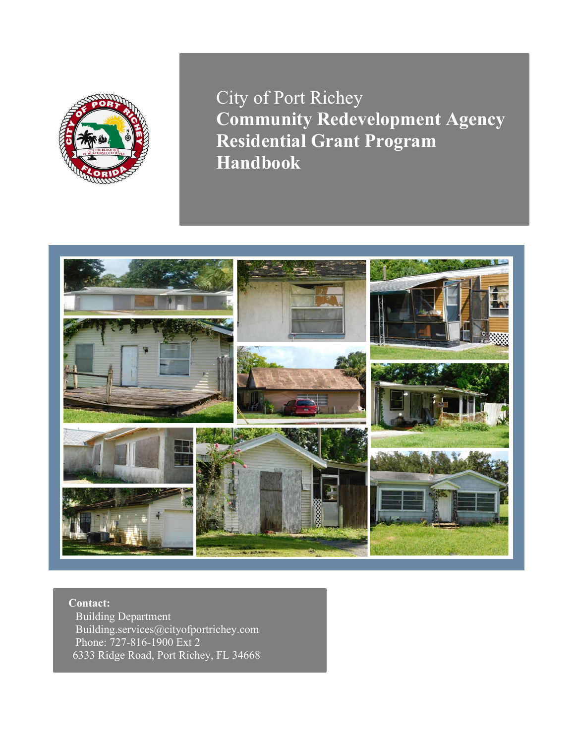

City of Port Richey **Community Redevelopment Agency Residential Grant Program Handbook**



**Contact:** Building Department Building.services@cityofportrichey.com Phone: 727-816-1900 Ext 2 6333 Ridge Road, Port Richey, FL 34668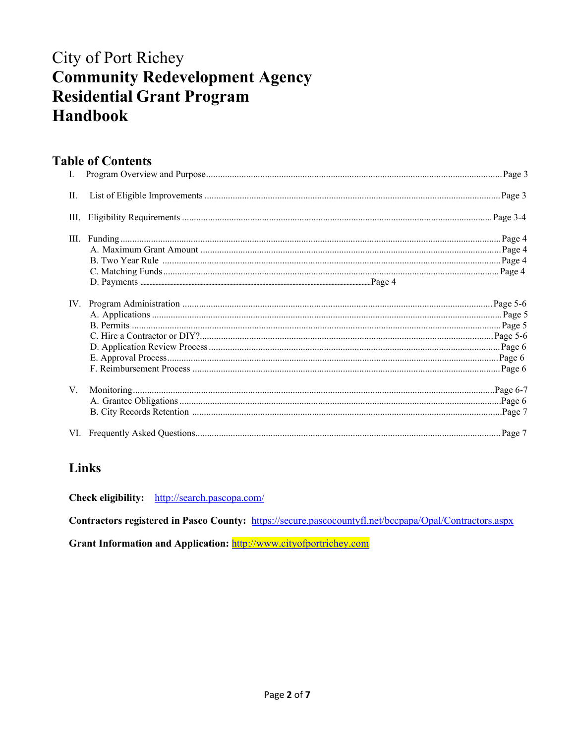# **City of Port Richey Community Redevelopment Agency Residential Grant Program Handbook**

# **Table of Contents**

| Ι.   |  |
|------|--|
| П.   |  |
| III. |  |
|      |  |
|      |  |
|      |  |
| V.   |  |
|      |  |

# Links

Check eligibility: http://search.pascopa.com/

Contractors registered in Pasco County: https://secure.pascocountyfl.net/bccpapa/Opal/Contractors.aspx

Grant Information and Application: http://www.cityofportrichey.com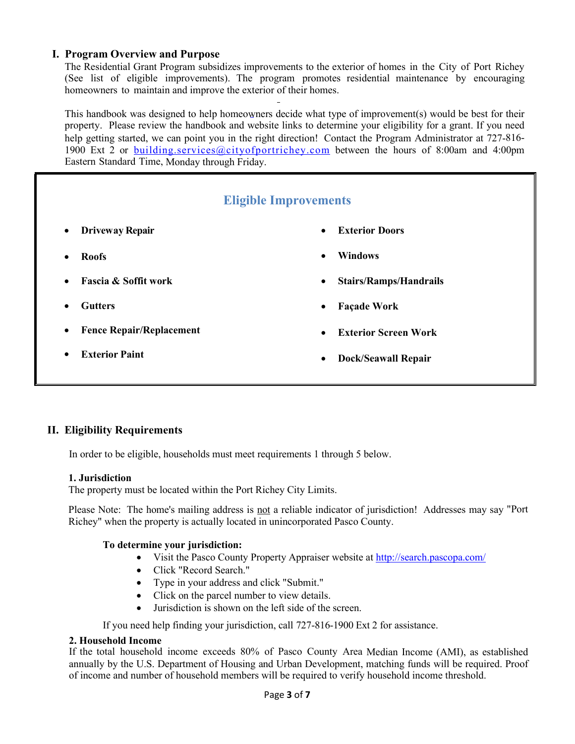# **I. Program Overview and Purpose**

The Residential Grant Program subsidizes improvements to the exterior of homes in the City of Port Richey (See list of eligible improvements). The program promotes residential maintenance by encouraging homeowners to maintain and improve the exterior of their homes.

This handbook was designed to help homeowners decide what type of improvement(s) would be best for their property. Please review the handbook and website links to determine your eligibility for a grant. If you need help getting started, we can point you in the right direction! Contact the Program Administrator at 727-8161900 Ext 2 or [building.services@cityofportrichey.com](mailto:building.services@cityofportrichey.com) between the hours of 8:00am and 4:00pm Eastern Standard Time, Monday through Friday.



# **II. Eligibility Requirements**

In order to be eligible, households must meet requirements 1 through 5 below.

#### **1. Jurisdiction**

The property must be located within the Port Richey City Limits.

Please Note: The home's mailing address is not a reliable indicator of jurisdiction! Addresses may say "Port Richey" when the property is actually located in unincorporated Pasco County.

#### **To determine your jurisdiction:**

- Visit the Pasco County Property Appraiser website at<http://search.pascopa.com/>
- Click "Record Search."
- Type in your address and click "Submit."
- Click on the parcel number to view details.
- Jurisdiction is shown on the left side of the screen.

If you need help finding your jurisdiction, call 727-816-1900 Ext 2 for assistance.

# **2. Household Income**

If the total household income exceeds 80% of Pasco County Area Median Income (AMI), as established annually by the U.S. Department of Housing and Urban Development, matching funds will be required. Proof of income and number of household members will be required to verify household income threshold.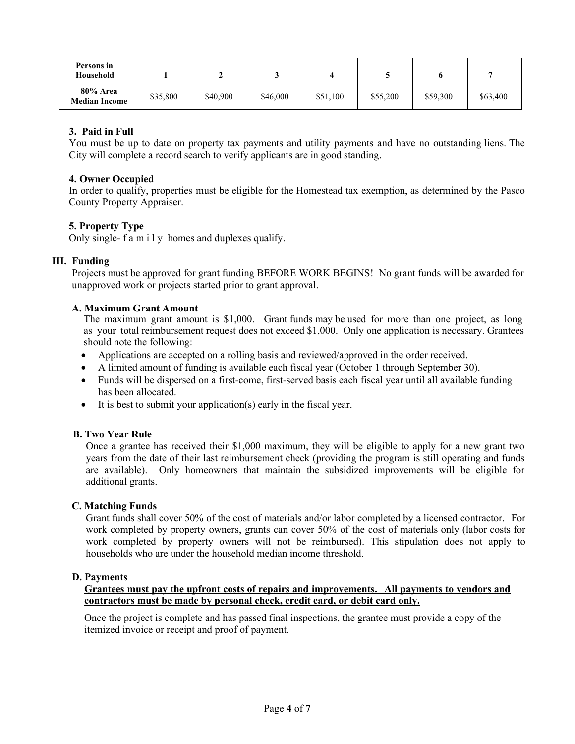| Persons in<br>Household          |          |          |          |          |          |          |          |
|----------------------------------|----------|----------|----------|----------|----------|----------|----------|
| 80% Area<br><b>Median Income</b> | \$35,800 | \$40,900 | \$46,000 | \$51,100 | \$55,200 | \$59,300 | \$63,400 |

### **3. Paid in Full**

You must be up to date on property tax payments and utility payments and have no outstanding liens. The City will complete a record search to verify applicants are in good standing.

#### **4. Owner Occupied**

In order to qualify, properties must be eligible for the Homestead tax exemption, as determined by the Pasco County Property Appraiser.

#### **5. Property Type**

Only single- family homes and duplexes qualify.

#### **III. Funding**

 Projects must be approved for grant funding BEFORE WORK BEGINS! No grant funds will be awarded for unapproved work or projects started prior to grant approval.

#### **A. Maximum Grant Amount**

 The maximum grant amount is \$1,000. Grant funds may be used for more than one project, as long as your total reimbursement request does not exceed \$1,000. Only one application is necessary. Grantees should note the following:

- Applications are accepted on a rolling basis and reviewed/approved in the order received.
- A limited amount of funding is available each fiscal year (October 1 through September 30).
- Funds will be dispersed on a first-come, first-served basis each fiscal year until all available funding has been allocated.
- It is best to submit your application(s) early in the fiscal year.

#### **B. Two Year Rule**

Once a grantee has received their \$1,000 maximum, they will be eligible to apply for a new grant two years from the date of their last reimbursement check (providing the program is still operating and funds are available). Only homeowners that maintain the subsidized improvements will be eligible for additional grants.

#### **C. Matching Funds**

Grant funds shall cover 50% of the cost of materials and/or labor completed by a licensed contractor. For work completed by property owners, grants can cover 50% of the cost of materials only (labor costs for work completed by property owners will not be reimbursed). This stipulation does not apply to households who are under the household median income threshold.

#### **D. Payments**

#### **Grantees must pay the upfront costs of repairs and improvements. All payments to vendors and contractors must be made by personal check, credit card, or debit card only.**

Once the project is complete and has passed final inspections, the grantee must provide a copy of the itemized invoice or receipt and proof of payment.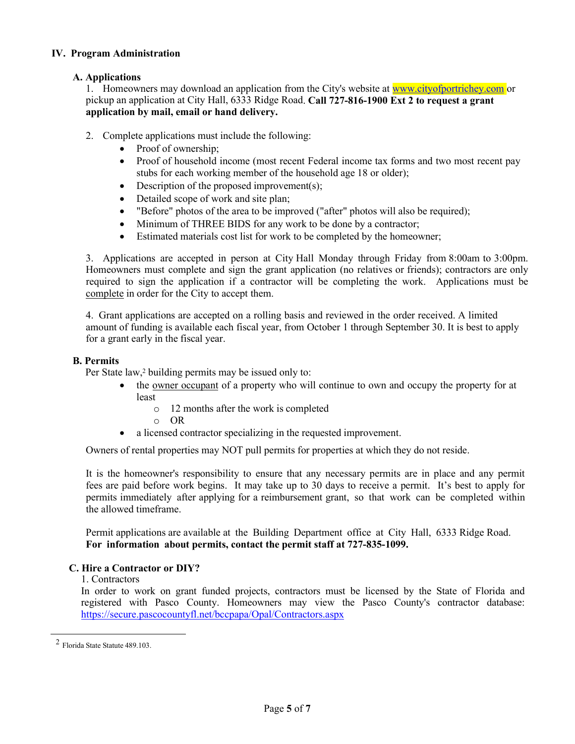#### **IV. Program Administration**

## **A. Applications**

1. Homeowners may download an application from the City's website at www.cityofportrichey.com or pickup an application at City Hall, 6333 Ridge Road. **Call 727-816-1900 Ext 2 to request a grant application by mail, email or hand delivery.**

- 2. Complete applications must include the following:
	- Proof of ownership;
	- Proof of household income (most recent Federal income tax forms and two most recent pay stubs for each working member of the household age 18 or older);
	- Description of the proposed improvement(s);
	- Detailed scope of work and site plan;
	- "Before" photos of the area to be improved ("after" photos will also be required);
	- Minimum of THREE BIDS for any work to be done by a contractor;
	- Estimated materials cost list for work to be completed by the homeowner;

3. Applications are accepted in person at City Hall Monday through Friday from 8:00am to 3:00pm. Homeowners must complete and sign the grant application (no relatives or friends); contractors are only required to sign the application if a contractor will be completing the work. Applications must be complete in order for the City to accept them.

4. Grant applications are accepted on a rolling basis and reviewed in the order received. A limited amount of funding is available each fiscal year, from October 1 through September 30. It is best to apply for a grant early in the fiscal year.

#### **B. Permits**

Per State law,<sup>2</sup> building permits may be issued only to:

- the owner occupant of a property who will continue to own and occupy the property for at least
	- o 12 months after the work is completed
	- o OR
- a licensed contractor specializing in the requested improvement.

Owners of rental properties may NOT pull permits for properties at which they do not reside.

It is the homeowner's responsibility to ensure that any necessary permits are in place and any permit fees are paid before work begins. It may take up to 30 days to receive a permit. It's best to apply for permits immediately after applying for a reimbursement grant, so that work can be completed within the allowed timeframe.

Permit applications are available at the Building Department office at City Hall, 6333 Ridge Road. **For information about permits, contact the permit staff at 727-835-1099.**

#### **C. Hire a Contractor or DIY?**

1. Contractors

In order to work on grant funded projects, contractors must be licensed by the State of Florida and registered with Pasco County. Homeowners may view the Pasco County's contractor database: <https://secure.pascocountyfl.net/bccpapa/Opal/Contractors.aspx>

<sup>2</sup> Florida State Statute 489.103.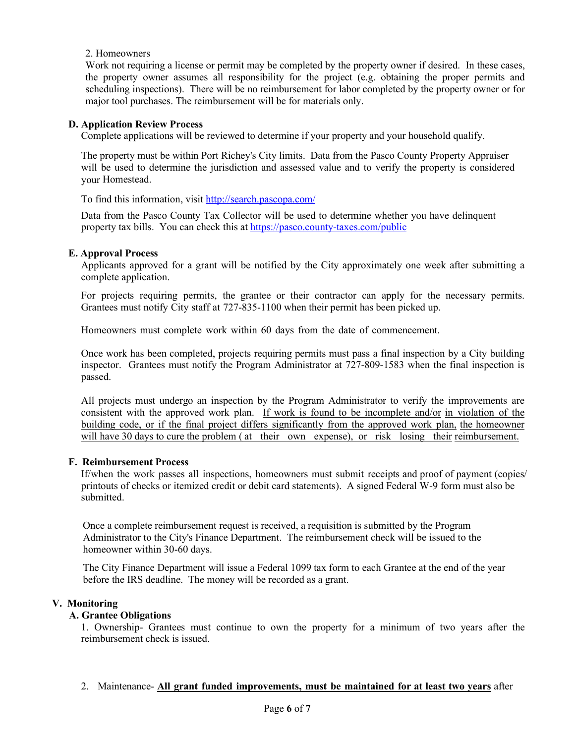#### 2. Homeowners

Work not requiring a license or permit may be completed by the property owner if desired. In these cases, the property owner assumes all responsibility for the project (e.g. obtaining the proper permits and scheduling inspections). There will be no reimbursement for labor completed by the property owner or for major tool purchases. The reimbursement will be for materials only.

#### **D. Application Review Process**

Complete applications will be reviewed to determine if your property and your household qualify.

The property must be within Port Richey's City limits. Data from the Pasco County Property Appraiser will be used to determine the jurisdiction and assessed value and to verify the property is considered your Homestead.

To find this information, visit<http://search.pascopa.com/>

Data from the Pasco County Tax Collector will be used to determine whether you have delinquent property tax bills. You can check this a[t https://pasco.county-taxes.com/public](https://pasco.county-taxes.com/public)

#### **E. Approval Process**

Applicants approved for a grant will be notified by the City approximately one week after submitting a complete application.

For projects requiring permits, the grantee or their contractor can apply for the necessary permits. Grantees must notify City staff at 727-835-1100 when their permit has been picked up.

Homeowners must complete work within 60 days from the date of commencement.

Once work has been completed, projects requiring permits must pass a final inspection by a City building inspector. Grantees must notify the Program Administrator at 727-809-1583 when the final inspection is passed.

All projects must undergo an inspection by the Program Administrator to verify the improvements are consistent with the approved work plan. If work is found to be incomplete and/or in violation of the building code, or if the final project differs significantly from the approved work plan, the homeowner will have 30 days to cure the problem (at their own expense), or risk losing their reimbursement.

#### **F. Reimbursement Process**

If/when the work passes all inspections, homeowners must submit receipts and proof of payment (copies/ printouts of checks or itemized credit or debit card statements). A signed Federal W-9 form must also be submitted.

Once a complete reimbursement request is received, a requisition is submitted by the Program Administrator to the City's Finance Department. The reimbursement check will be issued to the homeowner within 30-60 days.

The City Finance Department will issue a Federal 1099 tax form to each Grantee at the end of the year before the IRS deadline. The money will be recorded as a grant.

#### **V. Monitoring**

## **A. Grantee Obligations**

1. Ownership- Grantees must continue to own the property for a minimum of two years after the reimbursement check is issued.

2. Maintenance- **All grant funded improvements, must be maintained for at least two years** after